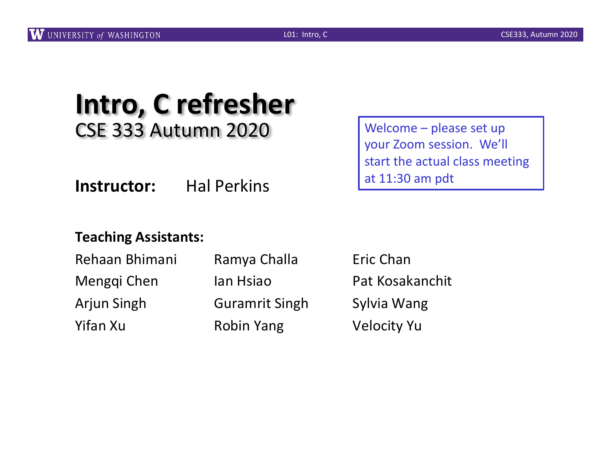## **Intro, C refresher** CSE 333 Autumn 2020

**Instructor:** Hal Perkins

#### **Teaching Assistants:**

| Rehaan Bhimani | Ramya Challa          |  |  |
|----------------|-----------------------|--|--|
| Menggi Chen    | lan Hsiao             |  |  |
| Arjun Singh    | <b>Guramrit Singh</b> |  |  |
| Yifan Xu       | <b>Robin Yang</b>     |  |  |

Welcome – please set up your Zoom session. We'll start the actual class meeting at 11:30 am pdt

**Eric Chan** Pat Kosakanchit h Sylvia Wang Velocity Yu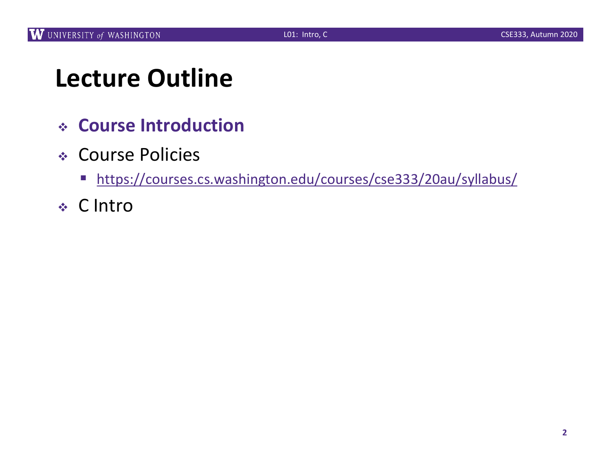## **Lecture Outline**

- <sup>v</sup> **Course Introduction**
- <sup>v</sup> Course Policies
	- [https://courses.cs.washington.edu/courses/cse333/20au/syllab](https://courses.cs.washington.edu/courses/cse333/20au/syllabus/)us/
- <sup>v</sup> C Intro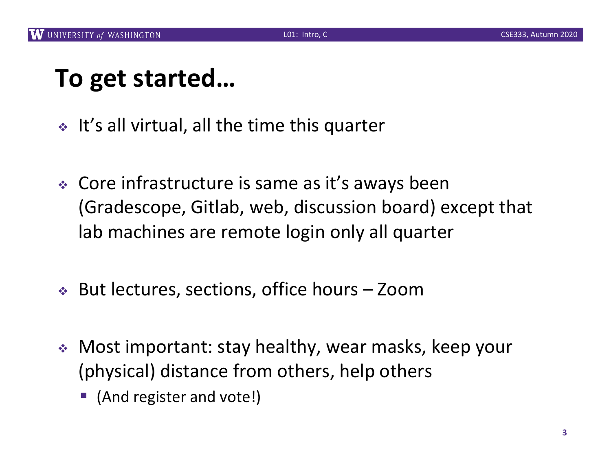## **To get started…**

- $\cdot$  It's all virtual, all the time this quarter
- $\div$  Core infrastructure is same as it's aways been (Gradescope, Gitlab, web, discussion board) except that lab machines are remote login only all quarter
- $\div$  But lectures, sections, office hours Zoom
- Most important: stay healthy, wear masks, keep your (physical) distance from others, help others
	- (And register and vote!)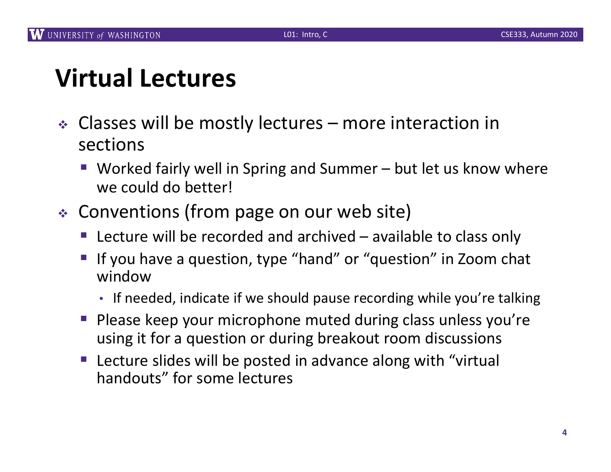## **Virtual Lectures**

- $\triangleleft$  Classes will be mostly lectures more interaction in sections
	- Worked fairly well in Spring and Summer but let us know where we could do better!
- $\div$  Conventions (from page on our web site)
	- E Lecture will be recorded and archived  $-$  available to class only
	- § If you have a question, type "hand" or "question" in Zoom chat window
		- If needed, indicate if we should pause recording while you're talking
	- § Please keep your microphone muted during class unless you're using it for a question or during breakout room discussions
	- Lecture slides will be posted in advance along with "virtual handouts" for some lectures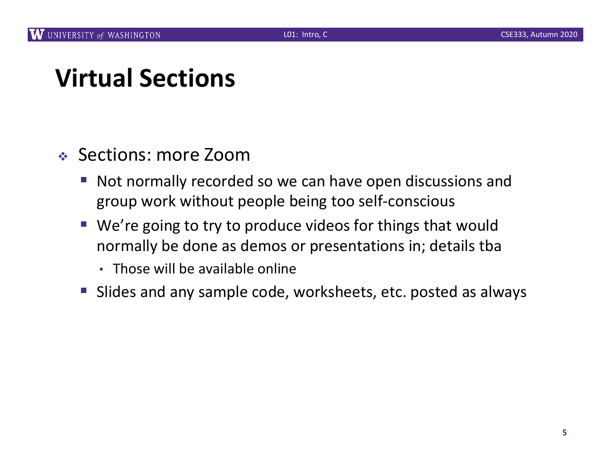## **Virtual Sections**

#### <sup>v</sup> Sections: more Zoom

- Not normally recorded so we can have open discussions and group work without people being too self-conscious
- We're going to try to produce videos for things that would normally be done as demos or presentations in; details tba
	- Those will be available online
- Slides and any sample code, worksheets, etc. posted as always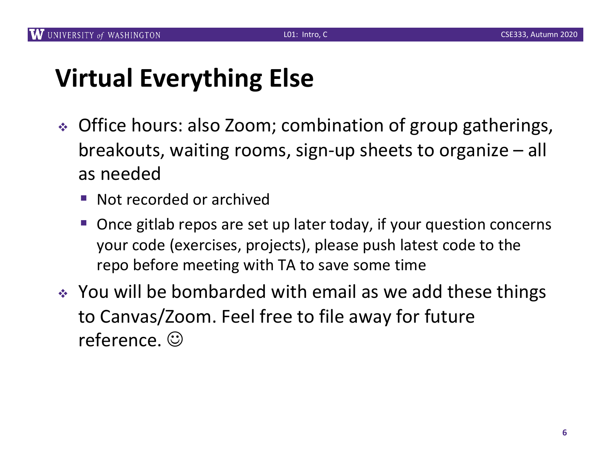## **Virtual Everything Else**

- Office hours: also Zoom; combination of group gatherings, breakouts, waiting rooms, sign-up sheets to organize – all as needed
	- Not recorded or archived
	- § Once gitlab repos are set up later today, if your question concerns your code (exercises, projects), please push latest code to the repo before meeting with TA to save some time
- \* You will be bombarded with email as we add these things to Canvas/Zoom. Feel free to file away for future reference.  $\odot$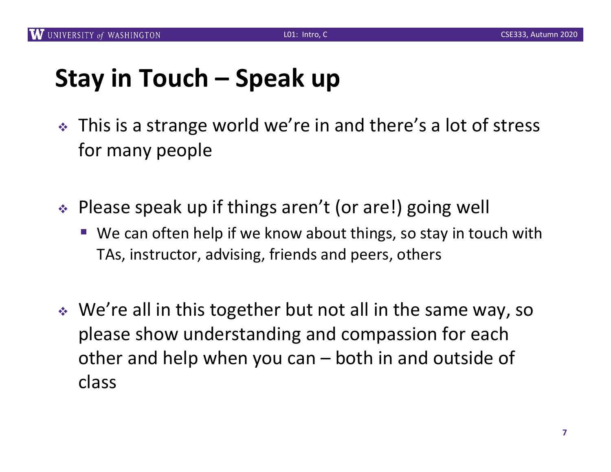## **Stay in Touch – Speak up**

- This is a strange world we're in and there's a lot of stress for many people
- $\div$  Please speak up if things aren't (or are!) going well
	- We can often help if we know about things, so stay in touch with TAs, instructor, advising, friends and peers, others
- $\cdot$  We're all in this together but not all in the same way, so please show understanding and compassion for each other and help when you can – both in and outside of class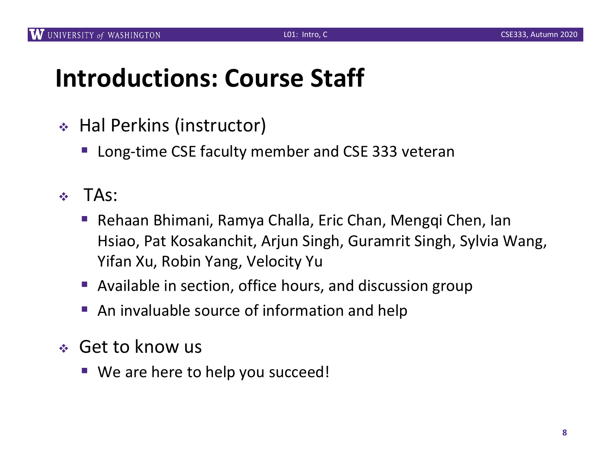#### **Introductions: Course Staff**

- ◆ Hal Perkins (instructor)
	- Long-time CSE faculty member and CSE 333 veteran
- $\div$  TAs:
	- Rehaan Bhimani, Ramya Challa, Eric Chan, Mengqi Chen, Ian Hsiao, Pat Kosakanchit, Arjun Singh, Guramrit Singh, Sylvia Wang, Yifan Xu, Robin Yang, Velocity Yu
	- Available in section, office hours, and discussion group
	- An invaluable source of information and help
- ◆ Get to know us
	- We are here to help you succeed!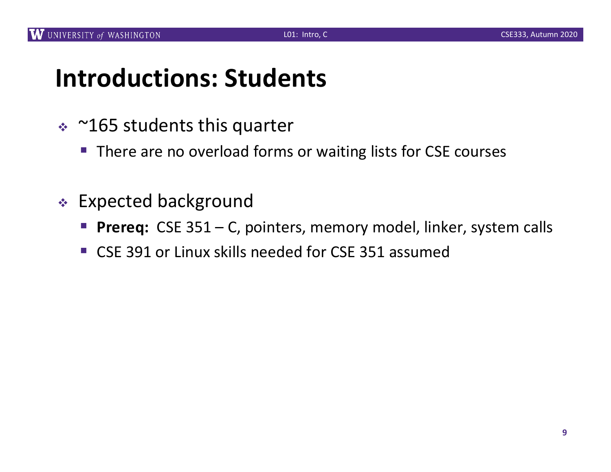#### **Introductions: Students**

- $\approx$  ~165 students this quarter
	- There are no overload forms or waiting lists for CSE courses
- <sup>v</sup> Expected background
	- **Prereq:** CSE 351 C, pointers, memory model, linker, system calls
	- CSE 391 or Linux skills needed for CSE 351 assumed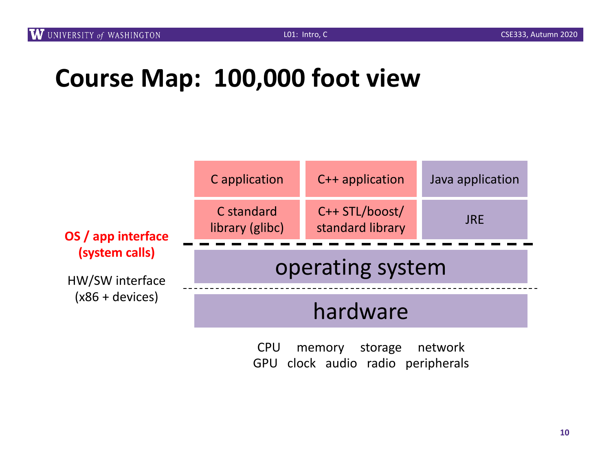## **Course Map: 100,000 foot view**



CPU memory storage network GPU clock audio radio peripherals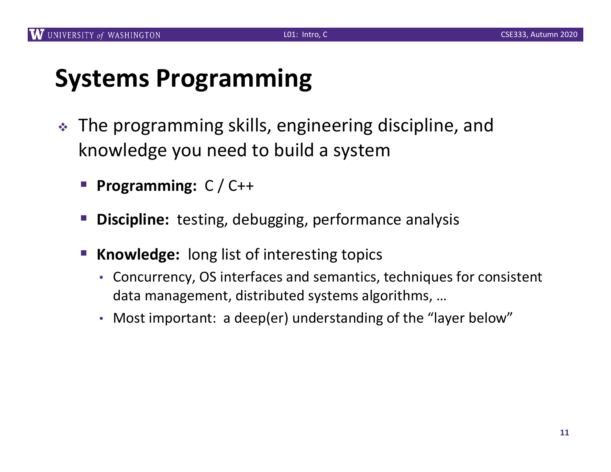## **Systems Programming**

- $\cdot$  The programming skills, engineering discipline, and knowledge you need to build a system
	- § **Programming:** C / C++
	- § **Discipline:** testing, debugging, performance analysis
	- § **Knowledge:** long list of interesting topics
		- Concurrency, OS interfaces and semantics, techniques for consistent data management, distributed systems algorithms, …
		- Most important: a deep(er) understanding of the "layer below"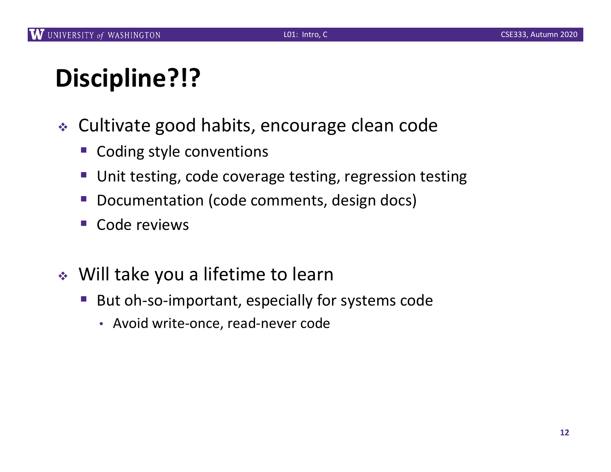# **Discipline?!?**

- <sup>v</sup> Cultivate good habits, encourage clean code
	- § Coding style conventions
	- Unit testing, code coverage testing, regression testing
	- § Documentation (code comments, design docs)
	- § Code reviews
- $\cdot$  Will take you a lifetime to learn
	- But oh-so-important, especially for systems code
		- Avoid write-once, read-never code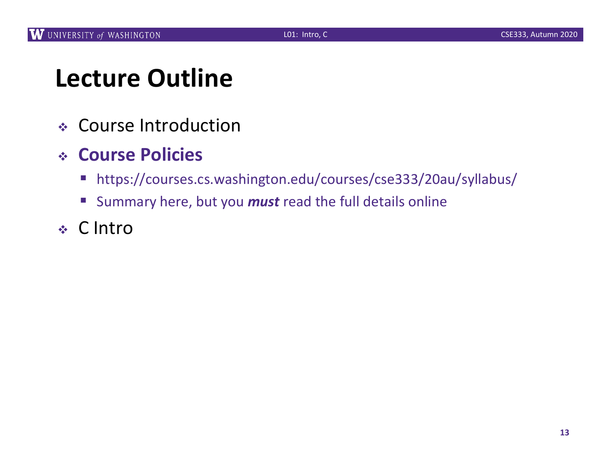## **Lecture Outline**

- <sup>v</sup> Course Introduction
- <sup>v</sup> **Course Policies**
	- https://courses.cs.washington.edu/courses/cse333/20au/syllabus/
	- Summary here, but you *must* read the full details online
- <sup>v</sup> C Intro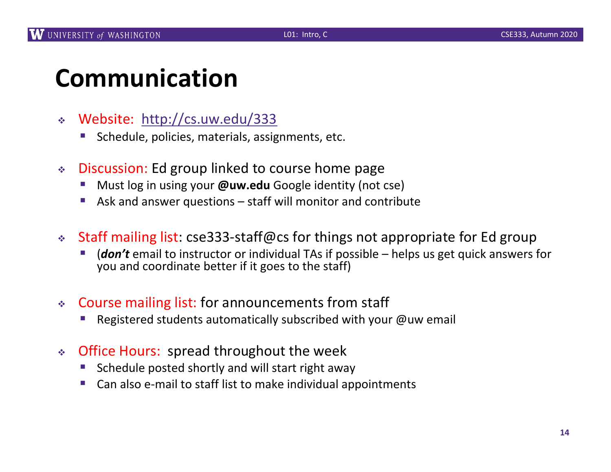## **Communication**

- <sup>v</sup> Web[site: http://cs.uw.edu/](http://cs.uw.edu/333)333
	- § Schedule, policies, materials, assignments, etc.
- ◆ Discussion: Ed group linked to course home page
	- § Must log in using your **@uw.edu** Google identity (not cse)
	- § Ask and answer questions staff will monitor and contribute
- <sup>v</sup> Staff mailing list: cse333-staff@cs for things not appropriate for Ed group
	- § (*don't* email to instructor or individual TAs if possible helps us get quick answers for you and coordinate better if it goes to the staff)
- <sup>v</sup> Course mailing list: for announcements from staff
	- Registered students automatically subscribed with your @uw email
- Office Hours: spread throughout the week
	- § Schedule posted shortly and will start right away
	- § Can also e-mail to staff list to make individual appointments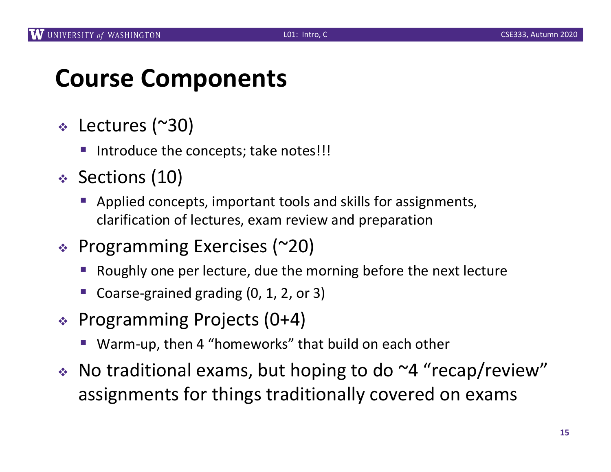#### **Course Components**

- $\div$  Lectures (~30)
	- Introduce the concepts; take notes!!!
- <sup>v</sup> Sections (10)
	- Applied concepts, important tools and skills for assignments, clarification of lectures, exam review and preparation
- $\div$  Programming Exercises (~20)
	- § Roughly one per lecture, due the morning before the next lecture
	- § Coarse-grained grading (0, 1, 2, or 3)
- $\div$  Programming Projects (0+4)
	- Warm-up, then 4 "homeworks" that build on each other
- $\cdot$  No traditional exams, but hoping to do  $\sim$ 4 "recap/review" assignments for things traditionally covered on exams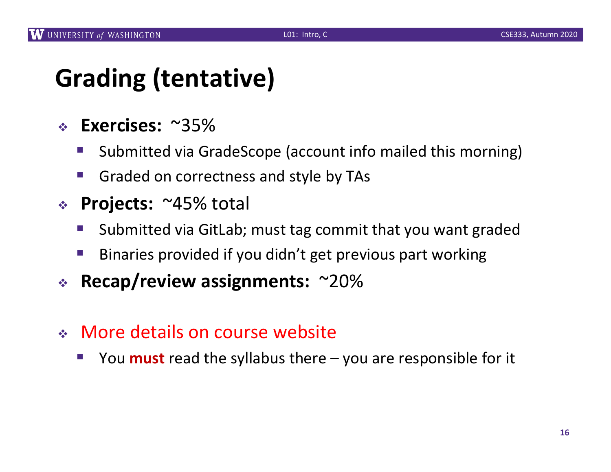## **Grading (tentative)**

- <sup>v</sup> **Exercises:** ~35%
	- § Submitted via GradeScope (account info mailed this morning)
	- Graded on correctness and style by TAs
- <sup>v</sup> **Projects:** ~45% total
	- Submitted via GitLab; must tag commit that you want graded
	- Binaries provided if you didn't get previous part working
- <sup>v</sup> **Recap/review assignments:** ~20%
- <sup>v</sup> More details on course website
	- § You **must** read the syllabus there you are responsible for it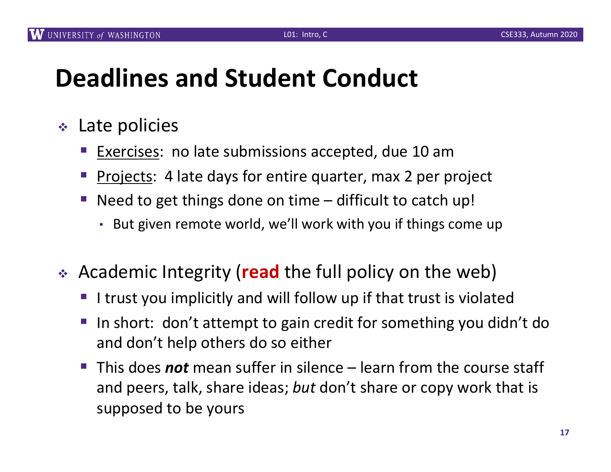## **Deadlines and Student Conduct**

- $\cdot$  Late policies
	- Exercises: no late submissions accepted, due 10 am
	- Projects: 4 late days for entire quarter, max 2 per project
	- Need to get things done on time  $-$  difficult to catch up!
		- But given remote world, we'll work with you if things come up
- **★ Academic Integrity (read the full policy on the web)** 
	- I trust you implicitly and will follow up if that trust is violated
	- In short: don't attempt to gain credit for something you didn't do and don't help others do so either
	- § This does *not* mean suffer in silence learn from the course staff and peers, talk, share ideas; *but* don't share or copy work that is supposed to be yours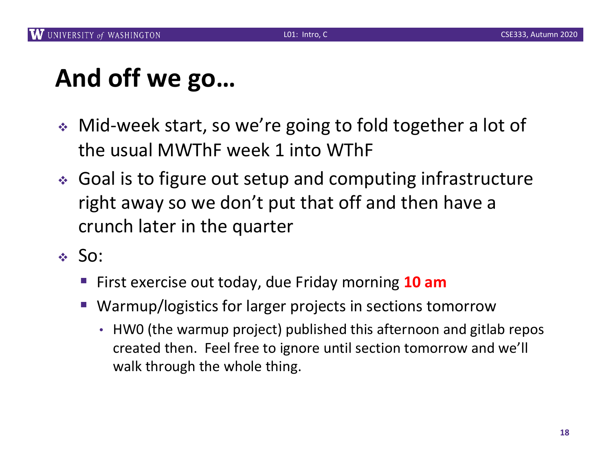## **And off we go…**

- ↓ Mid-week start, so we're going to fold together a lot of the usual MWThF week 1 into WThF
- ↓ Goal is to figure out setup and computing infrastructure right away so we don't put that off and then have a crunch later in the quarter
- $\div$  So:
	- First exercise out today, due Friday morning 10 am
	- Warmup/logistics for larger projects in sections tomorrow
		- HW0 (the warmup project) published this afternoon and gitlab repos created then. Feel free to ignore until section tomorrow and we'll walk through the whole thing.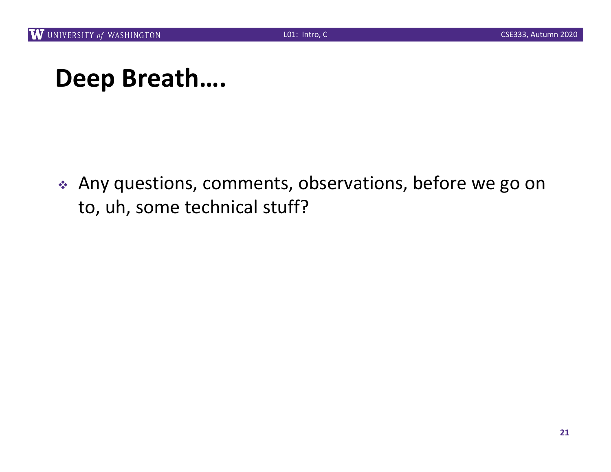#### **Deep Breath….**

\* Any questions, comments, observations, before we go on to, uh, some technical stuff?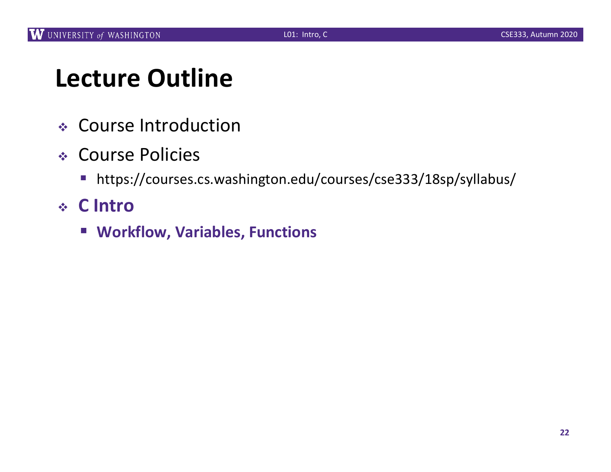## **Lecture Outline**

- <sup>v</sup> Course Introduction
- <sup>v</sup> Course Policies
	- https://courses.cs.washington.edu/courses/cse333/18sp/syllabus/
- <sup>v</sup> **C Intro**
	- § **Workflow, Variables, Functions**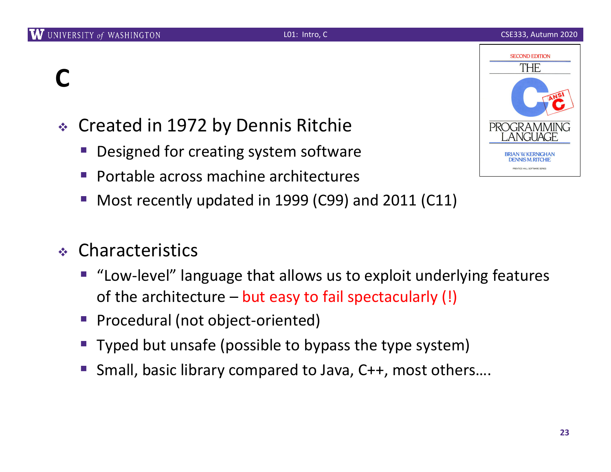## **C**

- ◆ Created in 1972 by Dennis Ritchie
	- Designed for creating system software
	- § Portable across machine architectures
	- § Most recently updated in 1999 (C99) and 2011 (C11)
- <sup>v</sup> Characteristics
	- "Low-level" language that allows us to exploit underlying features of the architecture – but easy to fail spectacularly (!)
	- § Procedural (not object-oriented)
	- Typed but unsafe (possible to bypass the type system)
	- § Small, basic library compared to Java, C++, most others….

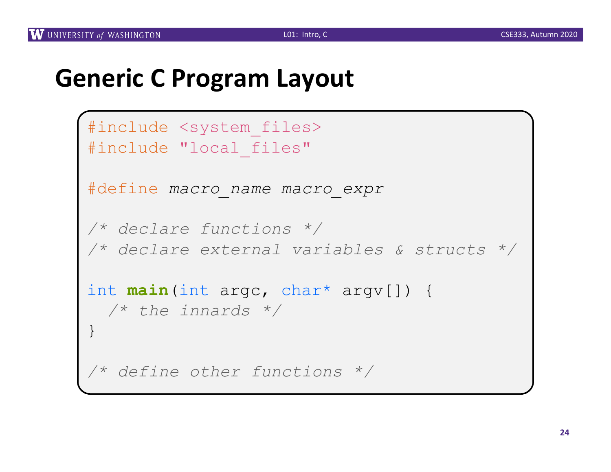#### **Generic C Program Layout**

```
#include <system_files>
#include "local files"
#define macro_name macro_expr
/* declare functions */
/* declare external variables & structs */
int main(int argc, char* argv[]) {
 /* the innards */
}
/* define other functions */
```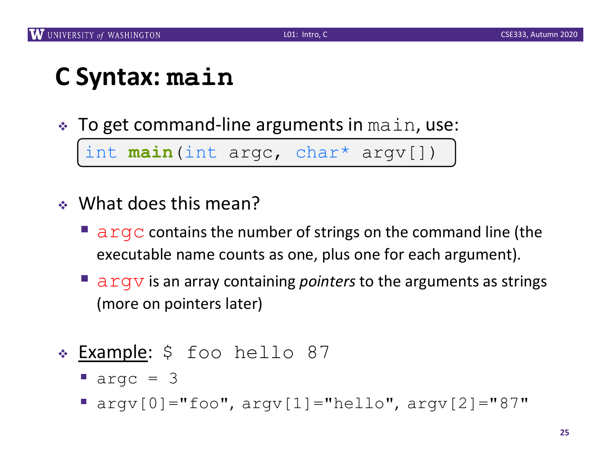#### **C Syntax: main**

 $\cdot$  To get command-line arguments in main, use:

§ int **main**(int argc, char\* argv[]) int **main**(int argc, char\* argv[])

- $\cdot$  What does this mean?
	- **E** argc contains the number of strings on the command line (the executable name counts as one, plus one for each argument).
	- argv is an array containing *pointers* to the arguments as strings (more on pointers later)
- \* Example: \$ foo hello 87
	- $\blacksquare$  argc = 3
	- $\blacksquare$  argv $[0] = "foo", argv[1] = "hello", argv[2] = "87"$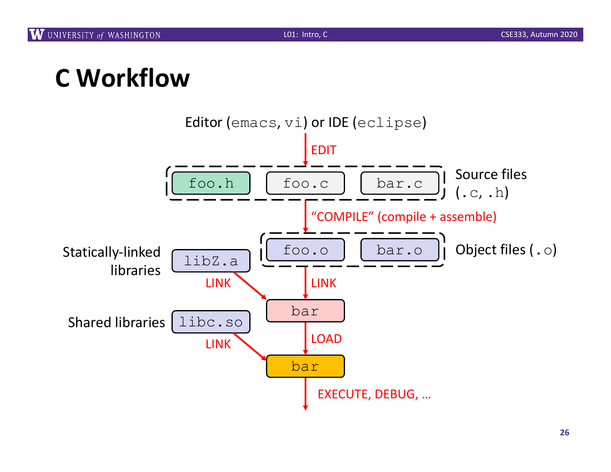## **C Workflow**

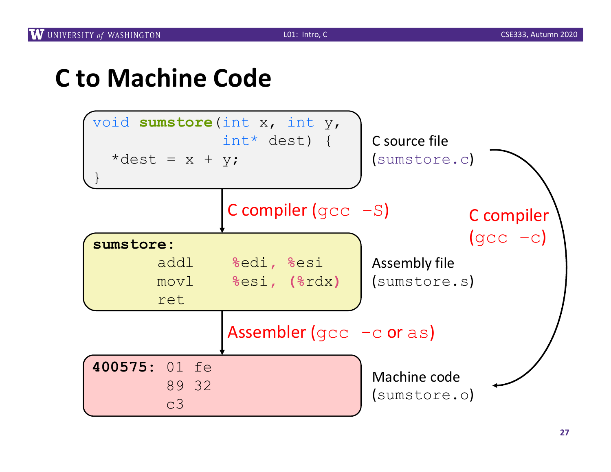#### **C to Machine Code**

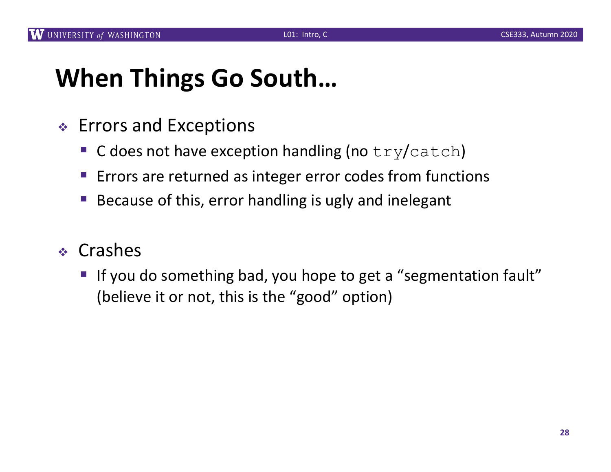## **When Things Go South…**

- $\div$  Errors and Exceptions
	- G does not have exception handling (no  $try/catch$ )
	- Errors are returned as integer error codes from functions
	- § Because of this, error handling is ugly and inelegant
- <sup>v</sup> Crashes
	- If you do something bad, you hope to get a "segmentation fault" (believe it or not, this is the "good" option)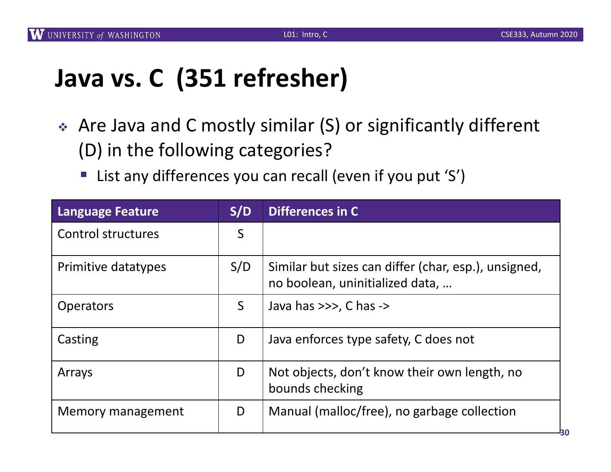## **Java vs. C (351 refresher)**

- ◆ Are Java and C mostly similar (S) or significantly different (D) in the following categories?
	- List any differences you can recall (even if you put 'S')

| <b>Language Feature</b>   | S/D | Differences in C                                                                        |
|---------------------------|-----|-----------------------------------------------------------------------------------------|
| <b>Control structures</b> | S   |                                                                                         |
| Primitive datatypes       | S/D | Similar but sizes can differ (char, esp.), unsigned,<br>no boolean, uninitialized data, |
| <b>Operators</b>          | S   | Java has $\gg$ , C has $\rightarrow$                                                    |
| Casting                   | D   | Java enforces type safety, C does not                                                   |
| Arrays                    | D   | Not objects, don't know their own length, no<br>bounds checking                         |
| Memory management         | D   | Manual (malloc/free), no garbage collection                                             |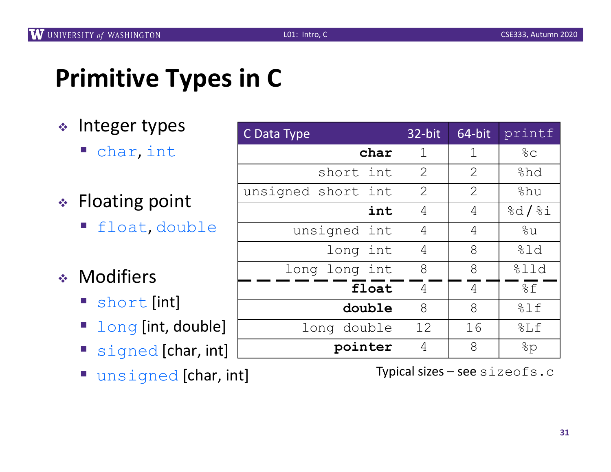#### **Primitive Types in C**

- $\cdot$  Integer types
	- char, int
- $\div$  Floating point
	- § float, double
- **\*** Modifiers
	- short [int]
	- long [int, double]
	- signed [char, int]
	- **•** unsigned [char, int]

| C Data Type           | 32-bit | 64-bit      | printf       |
|-----------------------|--------|-------------|--------------|
| char                  | 1      | $\mathbf 1$ | $rac{6}{6}C$ |
| short<br>int          | 2      | 2           | %hd          |
| unsigned short<br>int | 2      | 2           | %hu          |
| int                   | 4      | 4           | 8d/8i        |
| unsigned int          | 4      | 4           | %u           |
| long int              | 4      | 8           | 81d          |
| long long int         | 8      | 8           | %11d         |
| float                 | 4      | 4           | %f           |
| double                | 8      | 8           | 81f          |
| long double           | 12     | 16          | 8Lf          |
| pointer               | 4      | 8           | 8p           |

Typical sizes – see sizeofs.c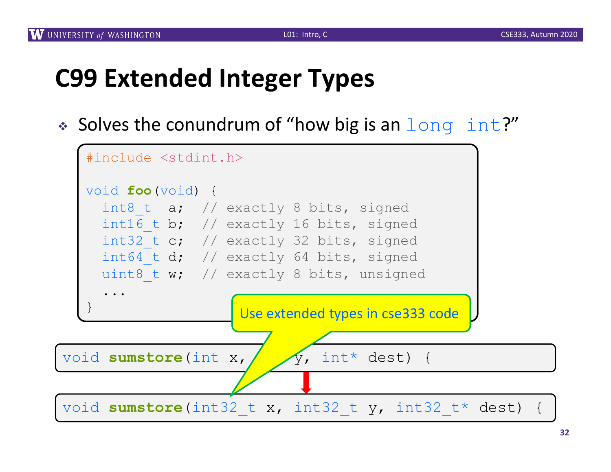## **C99 Extended Integer Types**

 $\bullet$  Solves the conundrum of "how big is an  $long$  int?"

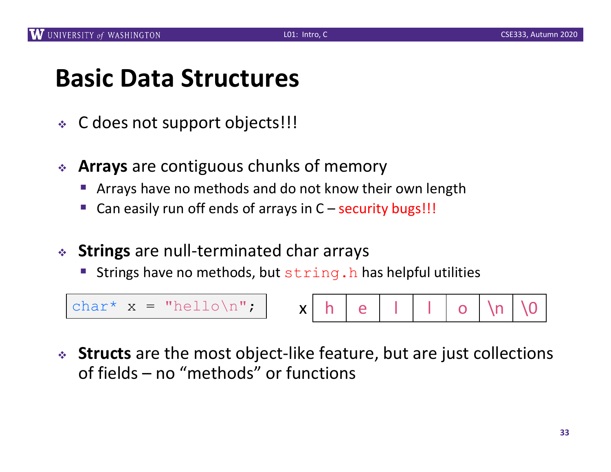#### **Basic Data Structures**

- <sup>v</sup> C does not support objects!!!
- **★ Arrays** are contiguous chunks of memory
	- Arrays have no methods and do not know their own length
	- Can easily run off ends of arrays in  $C$  security bugs!!!
- **↓ Strings** are null-terminated char arrays
	- Strings have no methods, but string.h has helpful utilities

char\*  $x = "hello \n\rangle^n$ ;  $\vert x \vert h \vert e \vert \vert + \vert 0 \vert \n\rangle n$ 

<sup>v</sup> **Structs** are the most object-like feature, but are just collections of fields – no "methods" or functions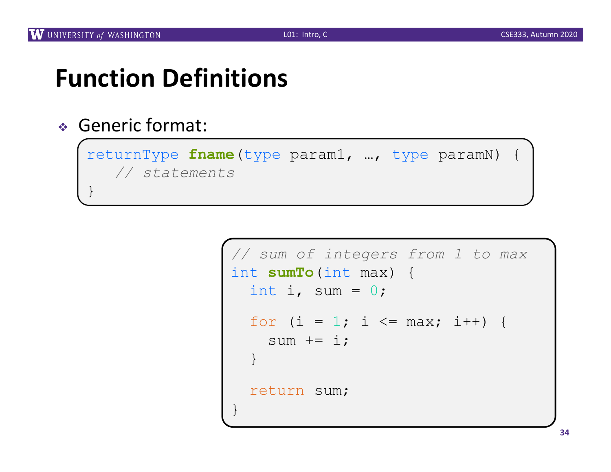}

## **Function Definitions**

#### <sup>v</sup> Generic format:

returnType **fname**(type param1, …, type paramN) { *// statements*

```
// sum of integers from 1 to max
int sumTo(int max) {
  int i, sum = 0;
  for (i = 1; i \leq \text{max}; i++) {
    sum += i;
  }
  return sum;
}
```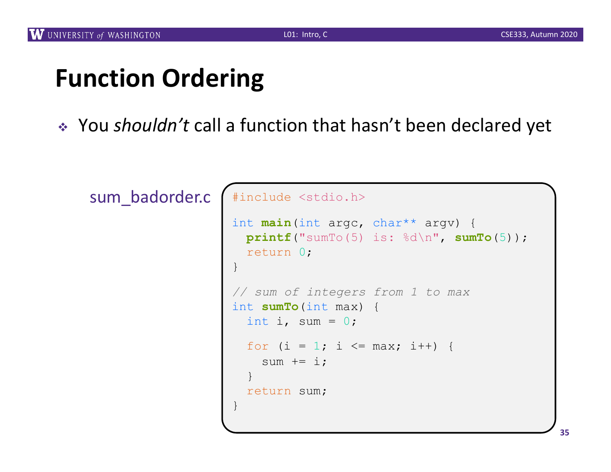## **Function Ordering**

\* You *shouldn't* call a function that hasn't been declared yet

sum\_badorder.c

```
#include <stdio.h>
int main(int argc, char** argv) {
  printf("sumTo(5) is: %d\n", sumTo(5));
  return 0;
}
// sum of integers from 1 to max
int sumTo(int max) {
  int i, sum = 0;
  for (i = 1; i \le max; i++) {
    sum += i;}
  return sum;
}
```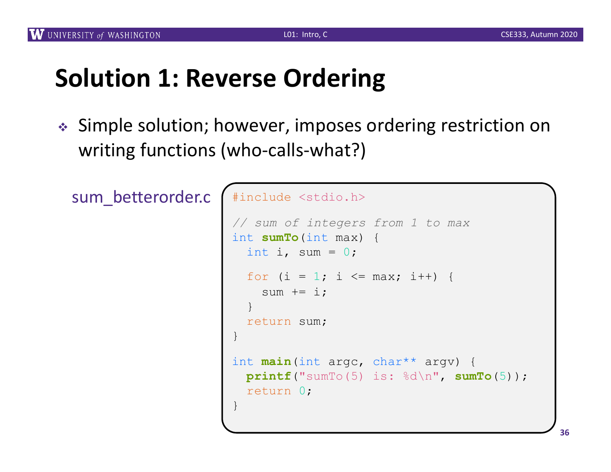## **Solution 1: Reverse Ordering**

◆ Simple solution; however, imposes ordering restriction on writing functions (who-calls-what?)

sum\_betterorder.c

```
#include <stdio.h>
// sum of integers from 1 to max
int sumTo(int max) {
  int i, sum = 0;
  for (i = 1; i \leq max; i++) {
    sum += i;
  }
  return sum;
}
int main(int argc, char** argv) {
 printf("sumTo(5) is: %d\n", sumTo(5));
  return 0;
}
```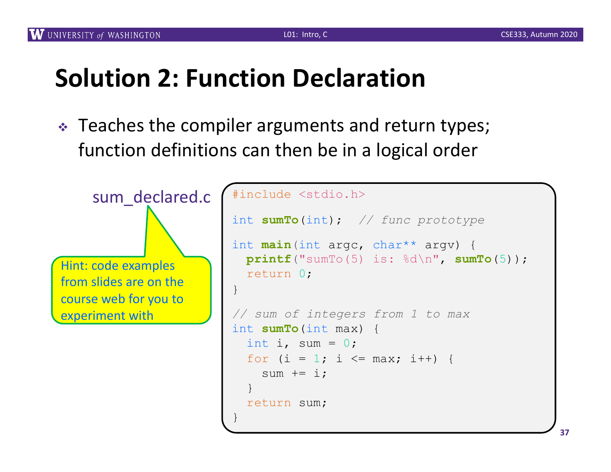## **Solution 2: Function Declaration**

 $\cdot$  Teaches the compiler arguments and return types; function definitions can then be in a logical order



```
sum_declared.c #include <stdio.h>
                   int sumTo(int); // func prototype
                   int main(int argc, char** argv) {
                     printf("sumTo(5) is: %d\n", sumTo(5));
                     return 0;
                   }
                   // sum of integers from 1 to max
                   int sumTo(int max) {
                     int i, sum = 0;
                     for (i = 1; i \le max; i++) {
                       sum += i;}
                     return sum;
                   }
```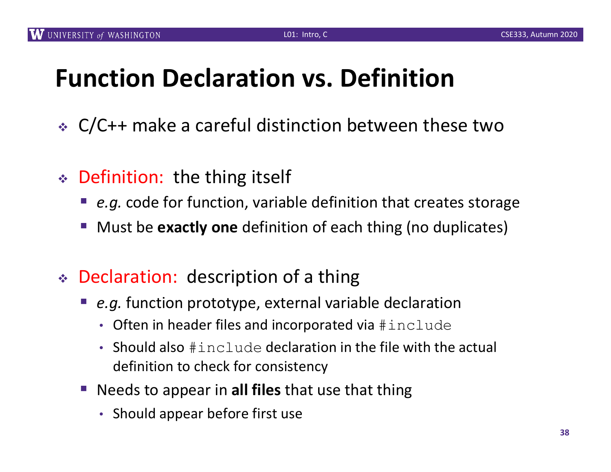## **Function Declaration vs. Definition**

- $\div$  C/C++ make a careful distinction between these two
- $\div$  Definition: the thing itself
	- *e.g.* code for function, variable definition that creates storage
	- § Must be **exactly one** definition of each thing (no duplicates)
- $\div$  Declaration: description of a thing
	- *e.g.* function prototype, external variable declaration
		- Often in header files and incorporated via #include
		- Should also  $\#$  include declaration in the file with the actual definition to check for consistency
	- Needs to appear in **all files** that use that thing
		- Should appear before first use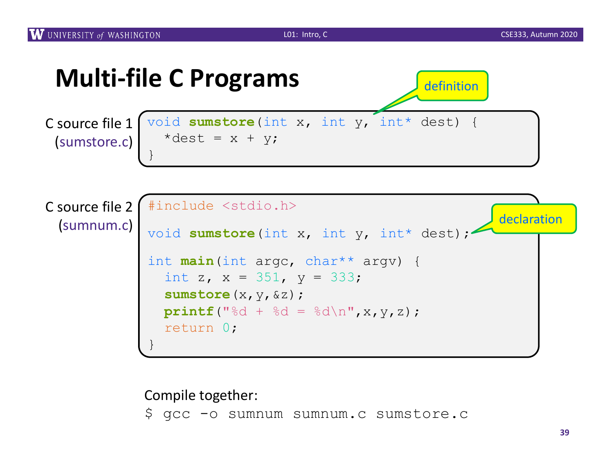

Compile together: \$ gcc -o sumnum sumnum.c sumstore.c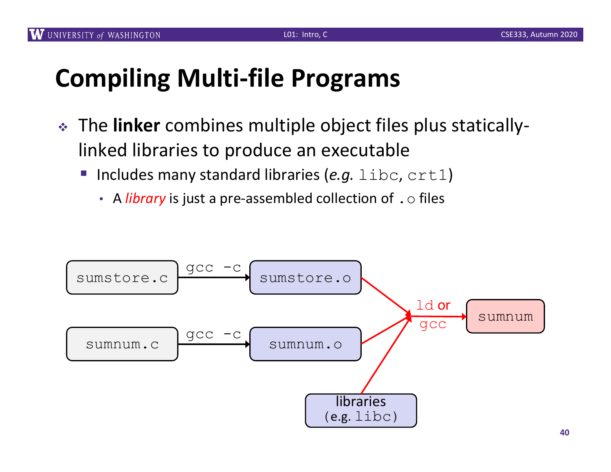## **Compiling Multi-file Programs**

- <sup>v</sup> The **linker** combines multiple object files plus staticallylinked libraries to produce an executable
	- Includes many standard libraries (*e.g.* libc, crt1)
		- A *library* is just a pre-assembled collection of . o files